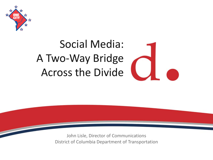

#### Social Media: A Two-Way Bridge Across the Divide



John Lisle, Director of Communications District of Columbia Department of Transportation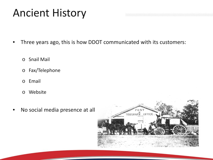#### Ancient History

- Three years ago, this is how DDOT communicated with its customers:
	- o Snail Mail
	- o Fax/Telephone
	- o Email
	- o Website
- No social media presence at all

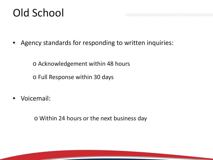#### Old School

Agency standards for responding to written inquiries:

o Acknowledgement within 48 hours

o Full Response within 30 days

• Voicemail:

o Within 24 hours or the next business day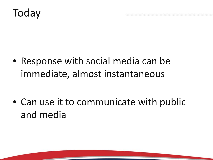#### **Today**

• Response with social media can be immediate, almost instantaneous

• Can use it to communicate with public and media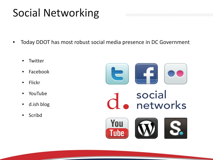#### Social Networking

- Today DDOT has most robust social media presence in DC Government
	- **Twitter**
	- Facebook
	- Flickr
	- YouTube
	- d.ish blog
	- Scribd

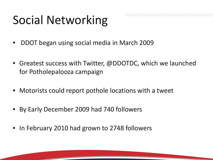#### Social Networking

- DDOT began using social media in March 2009
- Greatest success with Twitter, @DDOTDC, which we launched for Potholepalooza campaign
- Motorists could report pothole locations with a tweet
- By Early December 2009 had 740 followers
- In February 2010 had grown to 2748 followers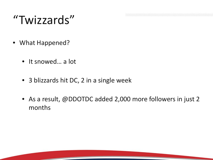#### "Twizzards"

- What Happened?
	- It snowed… a lot
	- 3 blizzards hit DC, 2 in a single week
	- As a result, @DDOTDC added 2,000 more followers in just 2 months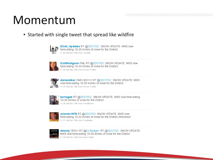#### Momentum

#### • Started with single tweet that spread like wildfire



DCist\_Updates RT @DDOTDC: SNOW UPDATE: NWS now forecasting 10-20 inches of snow for the District. 11:44 AM Dec 18th from Tweetie



ICallShotgunn FML RT @DDOTDC SNOW UPDATE: NWS now forecasting 10-20 inches of snow for the District. 11:39 AM Dec 18th from Power Twitter



**M** danawalker OMG NO!!!!! RT @DDOTDC: SNOW UPDATE: NWS now forecasting 10-20 inches of snow for the District. 11:35 AM Dec 18th from Power Twitter



turnageb RT @DDOTDC: SNOW UPDATE: NWS now forecasting 10-20 inches of snow for the District. 11:34 AM Dec 18th from TweetDeck



eclectic1978 RT @DDOTDC SNOW UPDATE: NWS now forecasting 10-20 inches of snow for the District.//Woohoo! 11:31 AM Dec 18th from Twittelator



dimickj YES !!! RT @DCBadger: RT @DDOTDC: SNOW UPDATE: NWS now forecasting 10-20 inches of snow for the District. 11:29 AM Dec 18th from UberTwitter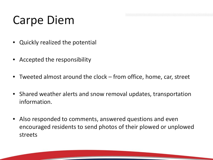#### Carpe Diem

- Quickly realized the potential
- Accepted the responsibility
- Tweeted almost around the clock from office, home, car, street
- Shared weather alerts and snow removal updates, transportation information.
- Also responded to comments, answered questions and even encouraged residents to send photos of their plowed or unplowed streets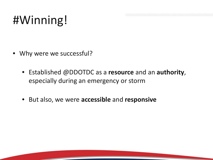## #Winning!

- Why were we successful?
	- Established @DDOTDC as a **resource** and an **authority**, especially during an emergency or storm
	- But also, we were **accessible** and **responsive**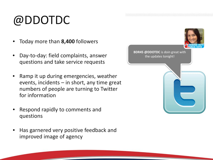## @DDOTDC

- Today more than **8,400** followers
- Day-to-day: field complaints, answer questions and take service requests
- Ramp it up during emergencies, weather events, incidents – in short, any time great numbers of people are turning to Twitter for information
- Respond rapidly to comments and questions
- Has garnered very positive feedback and improved image of agency

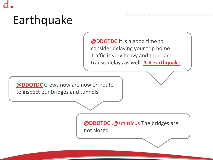# Earthquake

**[@DDOTDC](http://twitter.com/)** It is a good time to consider delaying your trip home. Traffic is very heavy and there are transit delays as well. **[#DCEarthquake](http://twitter.com/)** 

**[@DDOTDC](http://twitter.com/)** Crews now are now en-route to inspect our bridges and tunnels.

> **[@DDOTDC](http://twitter.com/)** [.@smitticus](http://twitter.com/) The bridges are not closed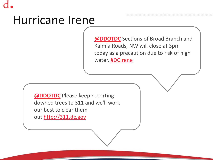#### Hurricane Irene

**[@DDOTDC](http://twitter.com/)** Sections of Broad Branch and Kalmia Roads, NW will close at 3pm today as a precaution due to risk of high water. **[#DCIrene](http://twitter.com/)** 

**[@DDOTDC](http://twitter.com/)** Please keep reporting downed trees to 311 and we'll work our best to clear them out [http://311.dc.gov](http://311.dc.gov/)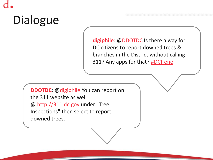[digiphile](http://hootsuite.com/dashboard): [@DDOTDC](http://hootsuite.com/dashboard) Is there a way for DC citizens to report downed trees & branches in the District without calling 311? Any apps for that? **[#DCIrene](http://hootsuite.com/dashboard)** 

**[DDOTDC](http://hootsuite.com/dashboard)**: [@digiphile](http://hootsuite.com/dashboard) You can report on the 311 website as well @ [http://311.dc.gov](http://311.dc.gov/) under "Tree Inspections" then select to report downed trees.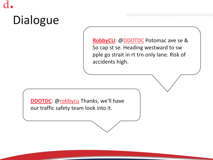[RobbyCU](http://hootsuite.com/dashboard): [@DDOTDC](http://hootsuite.com/dashboard) Potomac ave se & So cap st se. Heading westward to sw pple go strait in rt trn only lane. Risk of accidents high.

**[DDOTDC](http://hootsuite.com/dashboard)**: [@robbycu](http://hootsuite.com/dashboard) Thanks, we'll have our traffic safety team look into it.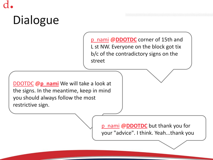[p\\_nami](http://twitter.com/) @**[DDOTDC](http://twitter.com/)** corner of 15th and L st NW. Everyone on the block got tix b/c of the contradictory signs on the street

[DDOTDC](http://twitter.com/) @**[p\\_nami](http://twitter.com/)** We will take a look at the signs. In the meantime, keep in mind you should always follow the most restrictive sign.

> [p\\_nami](http://twitter.com/) @**[DDOTDC](http://twitter.com/)** but thank you for your "advice". I think. Yeah...thank you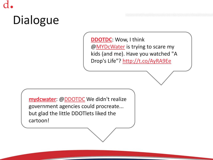**[DDOTDC](http://hootsuite.com/dashboard)**: Wow, I think [@MYDcWater](http://hootsuite.com/dashboard) is trying to scare my kids (and me). Have you watched "A Drop's Life"? <http://t.co/AyRA9Ee>

**[mydcwater](http://hootsuite.com/dashboard)**: [@DDOTDC](http://hootsuite.com/dashboard) We didn't realize government agencies could procreate... but glad the little DDOTlets liked the cartoon!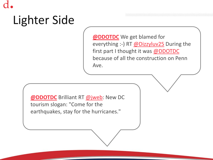## Lighter Side

**[@DDOTDC](http://twitter.com/)** We get blamed for everything :-) RT [@Dizzyluv25](http://twitter.com/) During the first part I thought it was [@DDOTDC](http://twitter.com/) because of all the construction on Penn Ave.

**[@DDOTDC](http://twitter.com/)** Brilliant RT [@jweb:](http://twitter.com/) New DC tourism slogan: "Come for the earthquakes, stay for the hurricanes."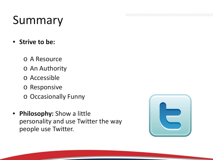#### Summary

- **Strive to be:**
	- o A Resource
	- o An Authority
	- o Accessible
	- o Responsive
	- o Occasionally Funny
- **Philosophy:** Show a little personality and use Twitter the way people use Twitter.

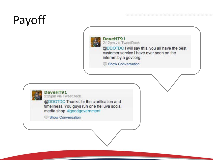## Payoff